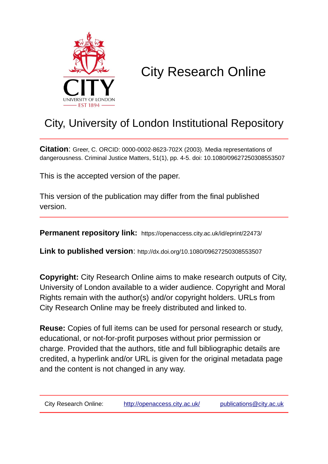

# City Research Online

## City, University of London Institutional Repository

**Citation**: Greer, C. ORCID: 0000-0002-8623-702X (2003). Media representations of dangerousness. Criminal Justice Matters, 51(1), pp. 4-5. doi: 10.1080/09627250308553507

This is the accepted version of the paper.

This version of the publication may differ from the final published version.

**Permanent repository link:** https://openaccess.city.ac.uk/id/eprint/22473/

**Link to published version**: http://dx.doi.org/10.1080/09627250308553507

**Copyright:** City Research Online aims to make research outputs of City, University of London available to a wider audience. Copyright and Moral Rights remain with the author(s) and/or copyright holders. URLs from City Research Online may be freely distributed and linked to.

**Reuse:** Copies of full items can be used for personal research or study, educational, or not-for-profit purposes without prior permission or charge. Provided that the authors, title and full bibliographic details are credited, a hyperlink and/or URL is given for the original metadata page and the content is not changed in any way.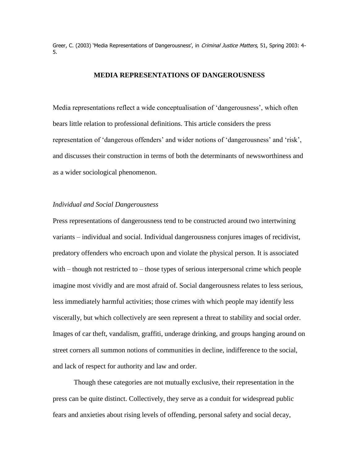Greer, C. (2003) 'Media Representations of Dangerousness', in Criminal Justice Matters, 51, Spring 2003: 4-5.

#### **MEDIA REPRESENTATIONS OF DANGEROUSNESS**

Media representations reflect a wide conceptualisation of 'dangerousness', which often bears little relation to professional definitions. This article considers the press representation of 'dangerous offenders' and wider notions of 'dangerousness' and 'risk', and discusses their construction in terms of both the determinants of newsworthiness and as a wider sociological phenomenon.

#### *Individual and Social Dangerousness*

Press representations of dangerousness tend to be constructed around two intertwining variants – individual and social. Individual dangerousness conjures images of recidivist, predatory offenders who encroach upon and violate the physical person. It is associated with  $-$  though not restricted to  $-$  those types of serious interpersonal crime which people imagine most vividly and are most afraid of. Social dangerousness relates to less serious, less immediately harmful activities; those crimes with which people may identify less viscerally, but which collectively are seen represent a threat to stability and social order. Images of car theft, vandalism, graffiti, underage drinking, and groups hanging around on street corners all summon notions of communities in decline, indifference to the social, and lack of respect for authority and law and order.

Though these categories are not mutually exclusive, their representation in the press can be quite distinct. Collectively, they serve as a conduit for widespread public fears and anxieties about rising levels of offending, personal safety and social decay,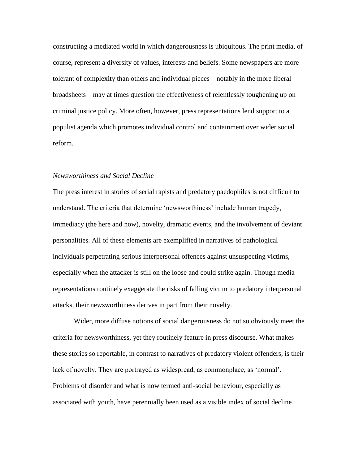constructing a mediated world in which dangerousness is ubiquitous. The print media, of course, represent a diversity of values, interests and beliefs. Some newspapers are more tolerant of complexity than others and individual pieces – notably in the more liberal broadsheets – may at times question the effectiveness of relentlessly toughening up on criminal justice policy. More often, however, press representations lend support to a populist agenda which promotes individual control and containment over wider social reform.

#### *Newsworthiness and Social Decline*

The press interest in stories of serial rapists and predatory paedophiles is not difficult to understand. The criteria that determine 'newsworthiness' include human tragedy, immediacy (the here and now), novelty, dramatic events, and the involvement of deviant personalities. All of these elements are exemplified in narratives of pathological individuals perpetrating serious interpersonal offences against unsuspecting victims, especially when the attacker is still on the loose and could strike again. Though media representations routinely exaggerate the risks of falling victim to predatory interpersonal attacks, their newsworthiness derives in part from their novelty.

Wider, more diffuse notions of social dangerousness do not so obviously meet the criteria for newsworthiness, yet they routinely feature in press discourse. What makes these stories so reportable, in contrast to narratives of predatory violent offenders, is their lack of novelty. They are portrayed as widespread, as commonplace, as 'normal'. Problems of disorder and what is now termed anti-social behaviour, especially as associated with youth, have perennially been used as a visible index of social decline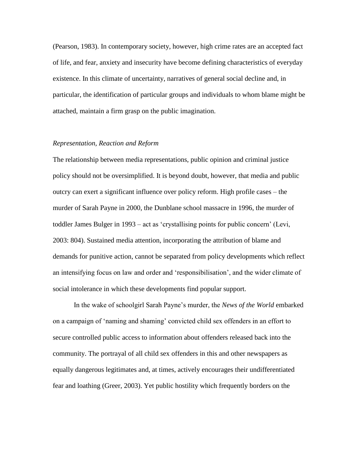(Pearson, 1983). In contemporary society, however, high crime rates are an accepted fact of life, and fear, anxiety and insecurity have become defining characteristics of everyday existence. In this climate of uncertainty, narratives of general social decline and, in particular, the identification of particular groups and individuals to whom blame might be attached, maintain a firm grasp on the public imagination.

#### *Representation, Reaction and Reform*

The relationship between media representations, public opinion and criminal justice policy should not be oversimplified. It is beyond doubt, however, that media and public outcry can exert a significant influence over policy reform. High profile cases – the murder of Sarah Payne in 2000, the Dunblane school massacre in 1996, the murder of toddler James Bulger in 1993 – act as 'crystallising points for public concern' (Levi, 2003: 804). Sustained media attention, incorporating the attribution of blame and demands for punitive action, cannot be separated from policy developments which reflect an intensifying focus on law and order and 'responsibilisation', and the wider climate of social intolerance in which these developments find popular support.

In the wake of schoolgirl Sarah Payne's murder, the *News of the World* embarked on a campaign of 'naming and shaming' convicted child sex offenders in an effort to secure controlled public access to information about offenders released back into the community. The portrayal of all child sex offenders in this and other newspapers as equally dangerous legitimates and, at times, actively encourages their undifferentiated fear and loathing (Greer, 2003). Yet public hostility which frequently borders on the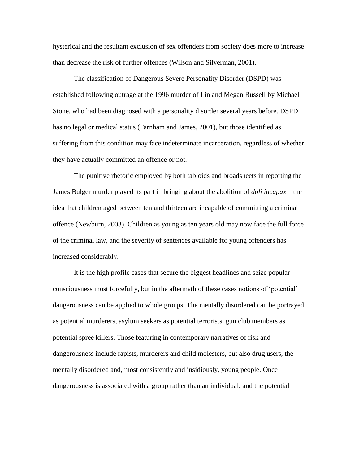hysterical and the resultant exclusion of sex offenders from society does more to increase than decrease the risk of further offences (Wilson and Silverman, 2001).

The classification of Dangerous Severe Personality Disorder (DSPD) was established following outrage at the 1996 murder of Lin and Megan Russell by Michael Stone, who had been diagnosed with a personality disorder several years before. DSPD has no legal or medical status (Farnham and James, 2001), but those identified as suffering from this condition may face indeterminate incarceration, regardless of whether they have actually committed an offence or not.

The punitive rhetoric employed by both tabloids and broadsheets in reporting the James Bulger murder played its part in bringing about the abolition of *doli incapax* – the idea that children aged between ten and thirteen are incapable of committing a criminal offence (Newburn, 2003). Children as young as ten years old may now face the full force of the criminal law, and the severity of sentences available for young offenders has increased considerably.

It is the high profile cases that secure the biggest headlines and seize popular consciousness most forcefully, but in the aftermath of these cases notions of 'potential' dangerousness can be applied to whole groups. The mentally disordered can be portrayed as potential murderers, asylum seekers as potential terrorists, gun club members as potential spree killers. Those featuring in contemporary narratives of risk and dangerousness include rapists, murderers and child molesters, but also drug users, the mentally disordered and, most consistently and insidiously, young people. Once dangerousness is associated with a group rather than an individual, and the potential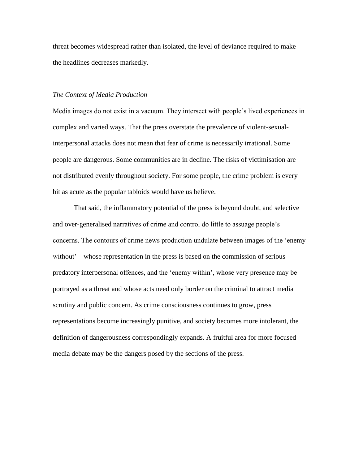threat becomes widespread rather than isolated, the level of deviance required to make the headlines decreases markedly.

#### *The Context of Media Production*

Media images do not exist in a vacuum. They intersect with people's lived experiences in complex and varied ways. That the press overstate the prevalence of violent-sexualinterpersonal attacks does not mean that fear of crime is necessarily irrational. Some people are dangerous. Some communities are in decline. The risks of victimisation are not distributed evenly throughout society. For some people, the crime problem is every bit as acute as the popular tabloids would have us believe.

That said, the inflammatory potential of the press is beyond doubt, and selective and over-generalised narratives of crime and control do little to assuage people's concerns. The contours of crime news production undulate between images of the 'enemy without' – whose representation in the press is based on the commission of serious predatory interpersonal offences, and the 'enemy within', whose very presence may be portrayed as a threat and whose acts need only border on the criminal to attract media scrutiny and public concern. As crime consciousness continues to grow, press representations become increasingly punitive, and society becomes more intolerant, the definition of dangerousness correspondingly expands. A fruitful area for more focused media debate may be the dangers posed by the sections of the press.